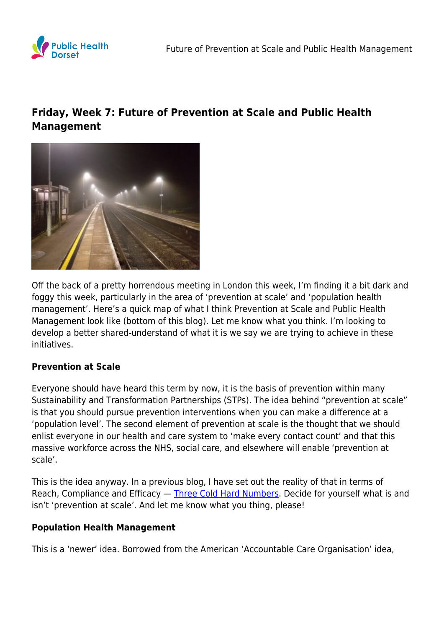

# **Friday, Week 7: Future of Prevention at Scale and Public Health Management**



Off the back of a pretty horrendous meeting in London this week, I'm finding it a bit dark and foggy this week, particularly in the area of 'prevention at scale' and 'population health management'. Here's a quick map of what I think Prevention at Scale and Public Health Management look like (bottom of this blog). Let me know what you think. I'm looking to develop a better shared-understand of what it is we say we are trying to achieve in these initiatives.

## **Prevention at Scale**

Everyone should have heard this term by now, it is the basis of prevention within many Sustainability and Transformation Partnerships (STPs). The idea behind "prevention at scale" is that you should pursue prevention interventions when you can make a difference at a 'population level'. The second element of prevention at scale is the thought that we should enlist everyone in our health and care system to 'make every contact count' and that this massive workforce across the NHS, social care, and elsewhere will enable 'prevention at scale'.

This is the idea anyway. In a previous blog, I have set out the reality of that in terms of Reach, Compliance and Efficacy — [Three Cold Hard Numbers.](https://www.publichealthdorset.org.uk/future-of-public-health-intervention-three-cold-hard-numbers/) Decide for yourself what is and isn't 'prevention at scale'. And let me know what you thing, please!

#### **Population Health Management**

This is a 'newer' idea. Borrowed from the American 'Accountable Care Organisation' idea,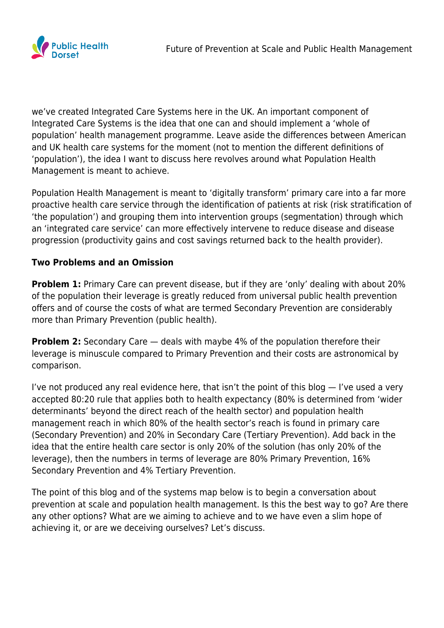

we've created Integrated Care Systems here in the UK. An important component of Integrated Care Systems is the idea that one can and should implement a 'whole of population' health management programme. Leave aside the differences between American and UK health care systems for the moment (not to mention the different definitions of 'population'), the idea I want to discuss here revolves around what Population Health Management is meant to achieve.

Population Health Management is meant to 'digitally transform' primary care into a far more proactive health care service through the identification of patients at risk (risk stratification of 'the population') and grouping them into intervention groups (segmentation) through which an 'integrated care service' can more effectively intervene to reduce disease and disease progression (productivity gains and cost savings returned back to the health provider).

## **Two Problems and an Omission**

**Problem 1:** Primary Care can prevent disease, but if they are 'only' dealing with about 20% of the population their leverage is greatly reduced from universal public health prevention offers and of course the costs of what are termed Secondary Prevention are considerably more than Primary Prevention (public health).

**Problem 2:** Secondary Care – deals with maybe 4% of the population therefore their leverage is minuscule compared to Primary Prevention and their costs are astronomical by comparison.

I've not produced any real evidence here, that isn't the point of this blog — I've used a very accepted 80:20 rule that applies both to health expectancy (80% is determined from 'wider determinants' beyond the direct reach of the health sector) and population health management reach in which 80% of the health sector's reach is found in primary care (Secondary Prevention) and 20% in Secondary Care (Tertiary Prevention). Add back in the idea that the entire health care sector is only 20% of the solution (has only 20% of the leverage), then the numbers in terms of leverage are 80% Primary Prevention, 16% Secondary Prevention and 4% Tertiary Prevention.

The point of this blog and of the systems map below is to begin a conversation about prevention at scale and population health management. Is this the best way to go? Are there any other options? What are we aiming to achieve and to we have even a slim hope of achieving it, or are we deceiving ourselves? Let's discuss.